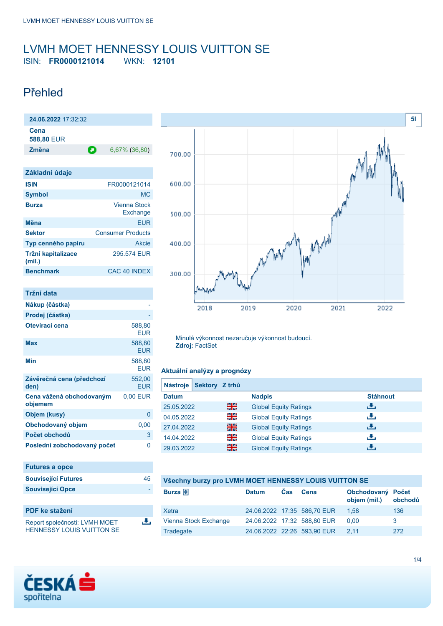### <span id="page-0-0"></span>LVMH MOET HENNESSY LOUIS VUITTON SE ISIN: **FR0000121014** WKN: **12101**

# Přehled

| 24.06.2022 17:32:32                 |                                 |
|-------------------------------------|---------------------------------|
| Cena<br>588,80 EUR                  |                                 |
| Změna                               | 6,67% (36,80)<br>О              |
|                                     |                                 |
| Základní údaje                      |                                 |
| <b>ISIN</b>                         | FR0000121014                    |
| <b>Symbol</b>                       | <b>MC</b>                       |
| <b>Burza</b>                        | <b>Vienna Stock</b><br>Exchange |
| Měna                                | <b>EUR</b>                      |
| <b>Sektor</b>                       | <b>Consumer Products</b>        |
| Typ cenného papíru                  | <b>Akcie</b>                    |
| Tržní kapitalizace<br>(mil.)        | 295.574 EUR                     |
| <b>Benchmark</b>                    | CAC 40 INDEX                    |
|                                     |                                 |
| Tržní data                          |                                 |
| Nákup (částka)                      |                                 |
| Prodej (částka)                     |                                 |
| Otevírací cena                      | 588,80<br><b>EUR</b>            |
| <b>Max</b>                          | 588,80<br><b>EUR</b>            |
| Min                                 | 588,80<br><b>EUR</b>            |
| Závěrečná cena (předchozí<br>den)   | 552,00<br><b>EUR</b>            |
| Cena vážená obchodovaným<br>objemem | 0,00 EUR                        |
| Objem (kusy)                        | 0                               |
| Obchodovaný objem                   | 0,00                            |
| Počet obchodů                       | 3                               |
| Poslední zobchodovaný počet         | 0                               |
| <b>Futures a opce</b>               |                                 |
| <b>Související Futures</b>          | 45                              |
| <b>Související Opce</b>             |                                 |

| <b>PDF</b> ke stažení            |  |
|----------------------------------|--|
| Report společnosti: LVMH MOET    |  |
| <b>HENNESSY LOUIS VUITTON SE</b> |  |

區



Minulá výkonnost nezaručuje výkonnost budoucí. **Zdroj:** FactSet

#### **Aktuální analýzy a prognózy**

| <b>Nástroje</b> | Sektory Z trhů |                              |                 |
|-----------------|----------------|------------------------------|-----------------|
| <b>Datum</b>    |                | <b>Nadpis</b>                | <b>Stáhnout</b> |
| 25.05.2022      | 쯺              | <b>Global Equity Ratings</b> | رنان            |
| 04.05.2022      | 읡              | <b>Global Equity Ratings</b> | رنان            |
| 27.04.2022      | 쯹중             | <b>Global Equity Ratings</b> | رنان            |
| 14.04.2022      | 읡              | <b>Global Equity Ratings</b> | رنان            |
| 29.03.2022      | 쯺              | <b>Global Equity Ratings</b> | J.              |

#### **Všechny burzy pro LVMH MOET HENNESSY LOUIS VUITTON SE**

| Burza $\bigoplus$     | <b>Datum</b> | Cas. | Cena                        | Obchodovaný Počet<br>objem (mil.) | obchodů |
|-----------------------|--------------|------|-----------------------------|-----------------------------------|---------|
| Xetra                 |              |      | 24.06.2022 17:35 586,70 EUR | 1.58                              | 136     |
| Vienna Stock Exchange |              |      | 24.06.2022 17:32 588,80 EUR | 0.00                              | -3      |
| Tradegate             |              |      | 24.06.2022 22:26 593.90 EUR | 2.11                              | 272     |

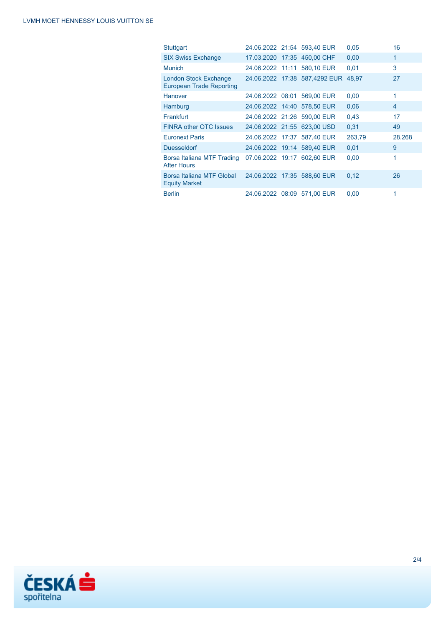| Stuttgart                                                |  | 24.06.2022 21:54 593,40 EUR   | 0.05   | 16             |
|----------------------------------------------------------|--|-------------------------------|--------|----------------|
| <b>SIX Swiss Exchange</b>                                |  | 17.03.2020 17:35 450,00 CHF   | 0,00   | 1              |
| <b>Munich</b>                                            |  | 24.06.2022 11:11 580.10 EUR   | 0,01   | 3              |
| London Stock Exchange<br><b>European Trade Reporting</b> |  | 24.06.2022 17:38 587,4292 EUR | 48.97  | 27             |
| Hanover                                                  |  | 24.06.2022 08:01 569,00 EUR   | 0,00   | 1              |
| Hamburg                                                  |  | 24.06.2022 14:40 578,50 EUR   | 0.06   | $\overline{4}$ |
| Frankfurt                                                |  | 24.06.2022 21:26 590.00 EUR   | 0.43   | 17             |
| <b>FINRA other OTC Issues</b>                            |  | 24.06.2022 21.55 623,00 USD   | 0,31   | 49             |
| <b>Euronext Paris</b>                                    |  | 24.06.2022 17:37 587,40 EUR   | 263,79 | 28.268         |
| <b>Duesseldorf</b>                                       |  | 24.06.2022 19:14 589.40 EUR   | 0.01   | 9              |
| Borsa Italiana MTF Trading<br><b>After Hours</b>         |  | 07.06.2022 19:17 602.60 EUR   | 0,00   | 1              |
| Borsa Italiana MTF Global<br><b>Equity Market</b>        |  | 24.06.2022 17:35 588.60 EUR   | 0,12   | 26             |
| <b>Berlin</b>                                            |  | 24.06.2022 08:09 571.00 EUR   | 0.00   | 1              |

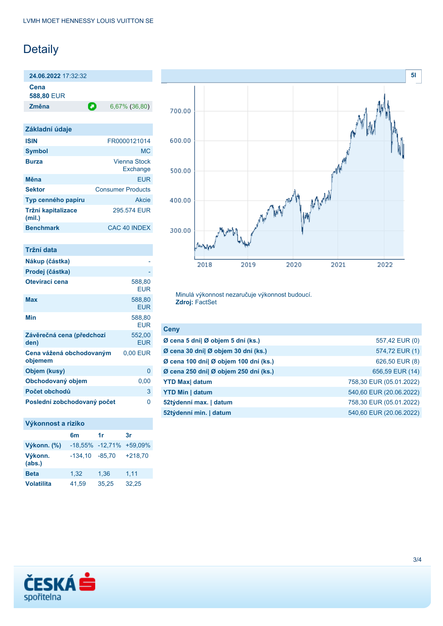# Detaily

**24.06.2022** 17:32:32

**Cena**

**588,80** EUR

**Změna** 6,67% (36,80)

| Základní údaje               |                          |
|------------------------------|--------------------------|
| <b>ISIN</b>                  | FR0000121014             |
| <b>Symbol</b>                | <b>MC</b>                |
| <b>Burza</b>                 | Vienna Stock<br>Exchange |
| Měna                         | <b>FUR</b>               |
| <b>Sektor</b>                | <b>Consumer Products</b> |
| Typ cenného papíru           | Akcie                    |
| Tržní kapitalizace<br>(mil.) | 295.574 EUR              |
| <b>Benchmark</b>             | CAC <sub>40</sub> INDEX  |

| Tržní data                          |                      |
|-------------------------------------|----------------------|
| Nákup (částka)                      |                      |
| Prodej (částka)                     |                      |
| Otevírací cena                      | 588,80<br><b>EUR</b> |
| <b>Max</b>                          | 588,80<br><b>EUR</b> |
| Min                                 | 588,80<br><b>EUR</b> |
| Závěrečná cena (předchozí<br>den)   | 552,00<br><b>EUR</b> |
| Cena vážená obchodovaným<br>objemem | 0,00 EUR             |
| Objem (kusy)                        | 0                    |
| Obchodovaný objem                   | 0,00                 |
| Počet obchodů                       | 3                    |
| Poslední zobchodovaný počet         | ი                    |

#### **Výkonnost a riziko**

|                   | 6m               | 1r                      | 3r        |
|-------------------|------------------|-------------------------|-----------|
| Výkonn. (%)       |                  | -18,55% -12,71% +59,09% |           |
| Výkonn.<br>(abs.) | $-134,10 -85,70$ |                         | $+218,70$ |
| <b>Beta</b>       | 1,32             | 1,36                    | 1,11      |
| <b>Volatilita</b> | 41,59            | 35,25                   | 32,25     |



Minulá výkonnost nezaručuje výkonnost budoucí. **Zdroj:** FactSet

| <b>Ceny</b>                           |                         |
|---------------------------------------|-------------------------|
| Ø cena 5 dní  Ø objem 5 dní (ks.)     | 557,42 EUR (0)          |
| Ø cena 30 dní  Ø objem 30 dní (ks.)   | 574,72 EUR (1)          |
| Ø cena 100 dní  Ø objem 100 dní (ks.) | 626,50 EUR (8)          |
| Ø cena 250 dní  Ø objem 250 dní (ks.) | 656,59 EUR (14)         |
| <b>YTD Max</b> datum                  | 758,30 EUR (05.01.2022) |
| <b>YTD Min   datum</b>                | 540,60 EUR (20.06.2022) |
| 52týdenní max.   datum                | 758,30 EUR (05.01.2022) |
| 52týdenní min.   datum                | 540,60 EUR (20.06.2022) |